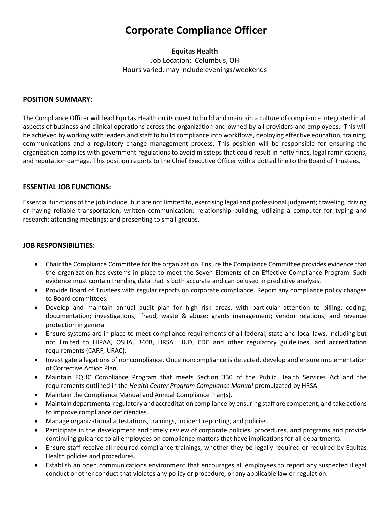# **Corporate Compliance Officer**

# **Equitas Health**

Job Location: Columbus, OH Hours varied, may include evenings/weekends

#### **POSITION SUMMARY:**

The Compliance Officer will lead Equitas Health on its quest to build and maintain a culture of compliance integrated in all aspects of business and clinical operations across the organization and owned by all providers and employees. This will be achieved by working with leaders and staff to build compliance into workflows, deploying effective education, training, communications and a regulatory change management process. This position will be responsible for ensuring the organization complies with government regulations to avoid missteps that could result in hefty fines, legal ramifications, and reputation damage. This position reports to the Chief Executive Officer with a dotted line to the Board of Trustees.

#### **ESSENTIAL JOB FUNCTIONS:**

Essential functions of the job include, but are not limited to, exercising legal and professional judgment; traveling, driving or having reliable transportation; written communication; relationship building; utilizing a computer for typing and research; attending meetings; and presenting to small groups.

# **JOB RESPONSIBILITIES:**

- Chair the Compliance Committee for the organization. Ensure the Compliance Committee provides evidence that the organization has systems in place to meet the Seven Elements of an Effective Compliance Program. Such evidence must contain trending data that is both accurate and can be used in predictive analysis.
- Provide Board of Trustees with regular reports on corporate compliance. Report any compliance policy changes to Board committees.
- Develop and maintain annual audit plan for high risk areas, with particular attention to billing; coding; documentation; investigations; fraud, waste & abuse; grants management; vendor relations; and revenue protection in general
- Ensure systems are in place to meet compliance requirements of all federal, state and local laws, including but not limited to HIPAA, OSHA, 340B, HRSA, HUD, CDC and other regulatory guidelines, and accreditation requirements (CARF, URAC).
- Investigate allegations of noncompliance. Once noncompliance is detected, develop and ensure implementation of Corrective Action Plan.
- Maintain FQHC Compliance Program that meets Section 330 of the Public Health Services Act and the requirements outlined in the *Health Center Program Compliance Manual* promulgated by HRSA.
- Maintain the Compliance Manual and Annual Compliance Plan(s).
- Maintain departmental regulatory and accreditation compliance by ensuring staff are competent, and take actions to improve compliance deficiencies.
- Manage organizational attestations, trainings, incident reporting, and policies.
- Participate in the development and timely review of corporate policies, procedures, and programs and provide continuing guidance to all employees on compliance matters that have implications for all departments.
- Ensure staff receive all required compliance trainings, whether they be legally required or required by Equitas Health policies and procedures.
- Establish an open communications environment that encourages all employees to report any suspected illegal conduct or other conduct that violates any policy or procedure, or any applicable law or regulation.